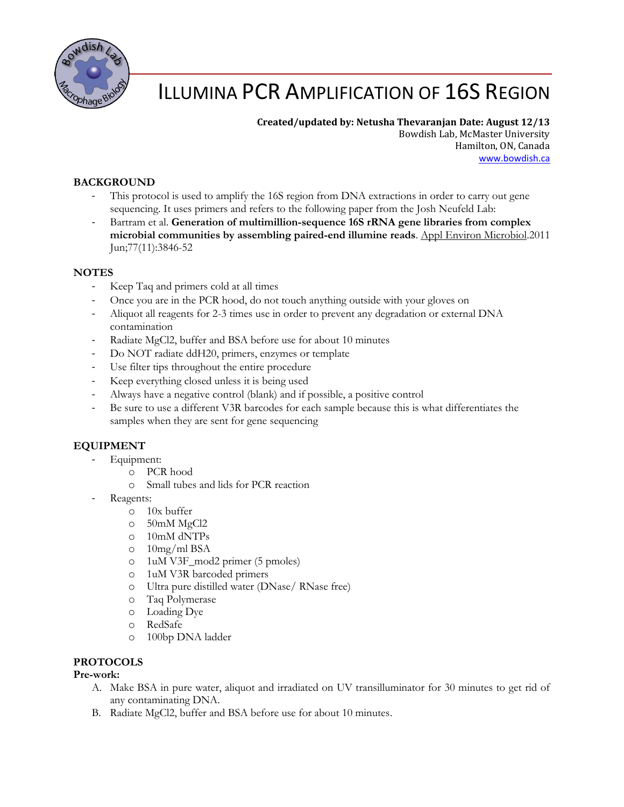

# ILLUMINA PCR AMPLIFICATION OF 16S REGION

## **Created/updated by: Netusha Thevaranjan Date: August 12/13**

Bowdish Lab, McMaster University Hamilton, ON, Canada [www.bowdish.ca](http://www.bowdish.ca/)

## **BACKGROUND**

- This protocol is used to amplify the 16S region from DNA extractions in order to carry out gene sequencing. It uses primers and refers to the following paper from the Josh Neufeld Lab:
- Bartram et al. **Generation of multimillion-sequence 16S rRNA gene libraries from complex microbial communities by assembling paired-end illumine reads**. Appl Environ Microbiol.2011 Jun;77(11):3846-52

## **NOTES**

- Keep Taq and primers cold at all times
- Once you are in the PCR hood, do not touch anything outside with your gloves on
- Aliquot all reagents for 2-3 times use in order to prevent any degradation or external DNA contamination
- Radiate MgCl2, buffer and BSA before use for about 10 minutes
- Do NOT radiate ddH20, primers, enzymes or template
- Use filter tips throughout the entire procedure
- Keep everything closed unless it is being used
- Always have a negative control (blank) and if possible, a positive control
- Be sure to use a different V3R barcodes for each sample because this is what differentiates the samples when they are sent for gene sequencing

## **EQUIPMENT**

- Equipment:
	- o PCR hood
	- o Small tubes and lids for PCR reaction
- Reagents:
	- o 10x buffer
		- o 50mM MgCl2
	- o 10mM dNTPs
	- o 10mg/ml BSA
	- o 1uM V3F\_mod2 primer (5 pmoles)
	- o 1uM V3R barcoded primers
	- o Ultra pure distilled water (DNase/ RNase free)
	- o Taq Polymerase
	- o Loading Dye
	- o RedSafe
	- o 100bp DNA ladder

## **PROTOCOLS**

#### **Pre-work:**

- A. Make BSA in pure water, aliquot and irradiated on UV transilluminator for 30 minutes to get rid of any contaminating DNA.
- B. Radiate MgCl2, buffer and BSA before use for about 10 minutes.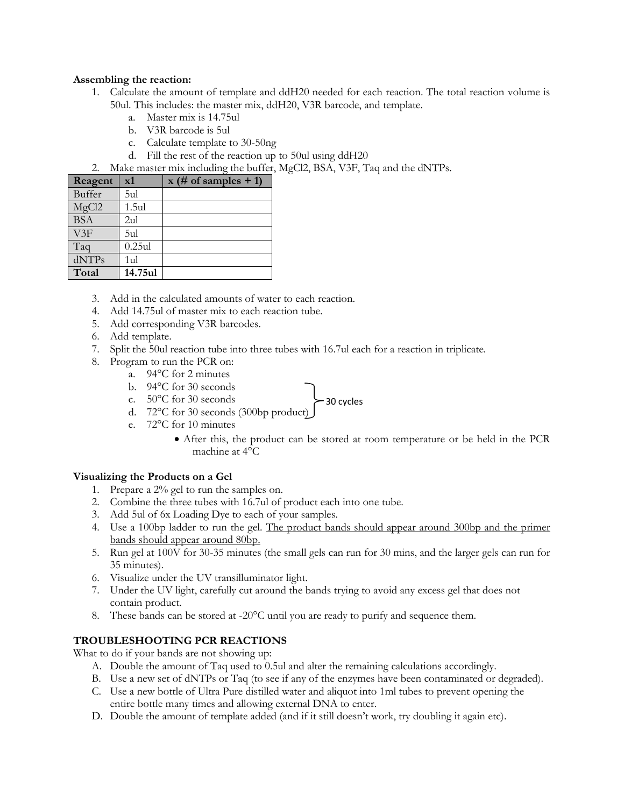#### **Assembling the reaction:**

- 1. Calculate the amount of template and ddH20 needed for each reaction. The total reaction volume is 50ul. This includes: the master mix, ddH20, V3R barcode, and template.
	- a. Master mix is 14.75ul
	- b. V3R barcode is 5ul
	- c. Calculate template to 30-50ng
	- d. Fill the rest of the reaction up to 50ul using ddH20
- 2. Make master mix including the buffer, MgCl2, BSA, V3F, Taq and the dNTPs.

| Reagent           | $\mathbf{x}$ 1 | $x$ (# of samples + 1) |
|-------------------|----------------|------------------------|
| <b>Buffer</b>     | 5ul            |                        |
| MgCl2             | 1.5ul          |                        |
| <b>BSA</b>        | 2ul            |                        |
| V3F               | 5ul            |                        |
| Taq               | $0.25$ ul      |                        |
| dNTP <sub>s</sub> | 1ul            |                        |
| Total             | 14.75ul        |                        |

- 3. Add in the calculated amounts of water to each reaction.
- 4. Add 14.75ul of master mix to each reaction tube.
- 5. Add corresponding V3R barcodes.
- 6. Add template.
- 7. Split the 50ul reaction tube into three tubes with 16.7ul each for a reaction in triplicate.
- 8. Program to run the PCR on:
	- a. 94°C for 2 minutes
	- b. 94°C for 30 seconds
	- c. 50°C for 30 seconds
	- d. 72°C for 30 seconds (300bp product)  $\begin{matrix} 5 \end{matrix}$  30 cycles
	- e. 72°C for 10 minutes
		- After this, the product can be stored at room temperature or be held in the PCR machine at 4°C

#### **Visualizing the Products on a Gel**

- 1. Prepare a 2% gel to run the samples on.
- 2. Combine the three tubes with 16.7ul of product each into one tube.
- 3. Add 5ul of 6x Loading Dye to each of your samples.
- 4. Use a 100bp ladder to run the gel. The product bands should appear around 300bp and the primer bands should appear around 80bp.
- 5. Run gel at 100V for 30-35 minutes (the small gels can run for 30 mins, and the larger gels can run for 35 minutes).
- 6. Visualize under the UV transilluminator light.
- 7. Under the UV light, carefully cut around the bands trying to avoid any excess gel that does not contain product.
- 8. These bands can be stored at -20°C until you are ready to purify and sequence them.

## **TROUBLESHOOTING PCR REACTIONS**

What to do if your bands are not showing up:

- A. Double the amount of Taq used to 0.5ul and alter the remaining calculations accordingly.
- B. Use a new set of dNTPs or Taq (to see if any of the enzymes have been contaminated or degraded).
- C. Use a new bottle of Ultra Pure distilled water and aliquot into 1ml tubes to prevent opening the entire bottle many times and allowing external DNA to enter.
- D. Double the amount of template added (and if it still doesn't work, try doubling it again etc).